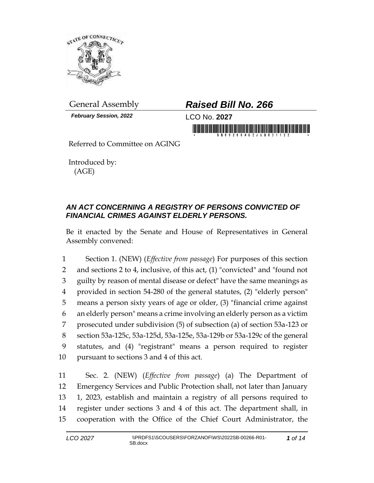

*February Session, 2022* LCO No. **2027**

## General Assembly *Raised Bill No. 266*

in monday is a series of the series of the second series of the series of the series of the series of the series of the series of the series of the series of the series of the series of the series of the series of the seri

Referred to Committee on AGING

Introduced by: (AGE)

## *AN ACT CONCERNING A REGISTRY OF PERSONS CONVICTED OF FINANCIAL CRIMES AGAINST ELDERLY PERSONS.*

Be it enacted by the Senate and House of Representatives in General Assembly convened:

 Section 1. (NEW) (*Effective from passage*) For purposes of this section and sections 2 to 4, inclusive, of this act, (1) "convicted" and "found not guilty by reason of mental disease or defect" have the same meanings as provided in section 54-280 of the general statutes, (2) "elderly person" means a person sixty years of age or older, (3) "financial crime against an elderly person" means a crime involving an elderly person as a victim prosecuted under subdivision (5) of subsection (a) of section 53a-123 or section 53a-125c, 53a-125d, 53a-125e, 53a-129b or 53a-129c of the general statutes, and (4) "registrant" means a person required to register pursuant to sections 3 and 4 of this act.

 Sec. 2. (NEW) (*Effective from passage*) (a) The Department of Emergency Services and Public Protection shall, not later than January 1, 2023, establish and maintain a registry of all persons required to register under sections 3 and 4 of this act. The department shall, in cooperation with the Office of the Chief Court Administrator, the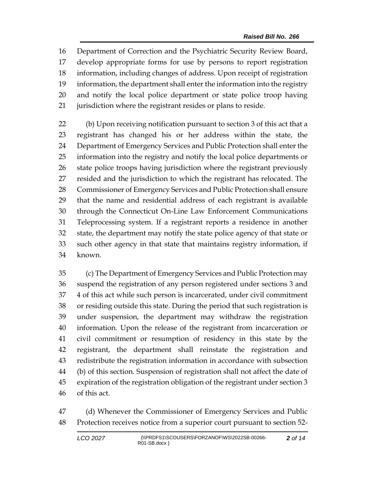Department of Correction and the Psychiatric Security Review Board, develop appropriate forms for use by persons to report registration information, including changes of address. Upon receipt of registration information, the department shall enter the information into the registry and notify the local police department or state police troop having jurisdiction where the registrant resides or plans to reside.

 (b) Upon receiving notification pursuant to section 3 of this act that a registrant has changed his or her address within the state, the Department of Emergency Services and Public Protection shall enter the information into the registry and notify the local police departments or state police troops having jurisdiction where the registrant previously resided and the jurisdiction to which the registrant has relocated. The Commissioner of Emergency Services and Public Protection shall ensure that the name and residential address of each registrant is available through the Connecticut On-Line Law Enforcement Communications Teleprocessing system. If a registrant reports a residence in another state, the department may notify the state police agency of that state or such other agency in that state that maintains registry information, if known.

 (c) The Department of Emergency Services and Public Protection may suspend the registration of any person registered under sections 3 and 4 of this act while such person is incarcerated, under civil commitment or residing outside this state. During the period that such registration is under suspension, the department may withdraw the registration information. Upon the release of the registrant from incarceration or civil commitment or resumption of residency in this state by the registrant, the department shall reinstate the registration and redistribute the registration information in accordance with subsection (b) of this section. Suspension of registration shall not affect the date of expiration of the registration obligation of the registrant under section 3 of this act.

 (d) Whenever the Commissioner of Emergency Services and Public Protection receives notice from a superior court pursuant to section 52-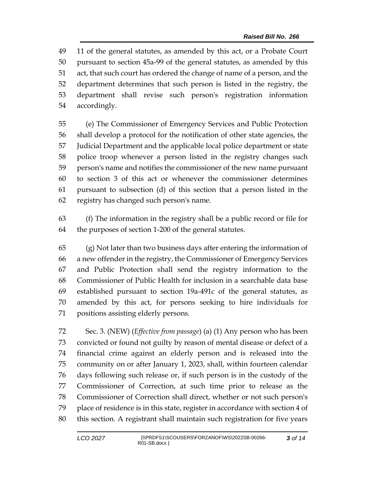11 of the general statutes, as amended by this act, or a Probate Court pursuant to section 45a-99 of the general statutes, as amended by this act, that such court has ordered the change of name of a person, and the department determines that such person is listed in the registry, the department shall revise such person's registration information accordingly.

 (e) The Commissioner of Emergency Services and Public Protection shall develop a protocol for the notification of other state agencies, the Judicial Department and the applicable local police department or state police troop whenever a person listed in the registry changes such person's name and notifies the commissioner of the new name pursuant to section 3 of this act or whenever the commissioner determines pursuant to subsection (d) of this section that a person listed in the registry has changed such person's name.

 (f) The information in the registry shall be a public record or file for the purposes of section 1-200 of the general statutes.

 (g) Not later than two business days after entering the information of a new offender in the registry, the Commissioner of Emergency Services and Public Protection shall send the registry information to the Commissioner of Public Health for inclusion in a searchable data base established pursuant to section 19a-491c of the general statutes, as amended by this act, for persons seeking to hire individuals for positions assisting elderly persons.

 Sec. 3. (NEW) (*Effective from passage*) (a) (1) Any person who has been convicted or found not guilty by reason of mental disease or defect of a financial crime against an elderly person and is released into the community on or after January 1, 2023, shall, within fourteen calendar days following such release or, if such person is in the custody of the Commissioner of Correction, at such time prior to release as the Commissioner of Correction shall direct, whether or not such person's place of residence is in this state, register in accordance with section 4 of this section. A registrant shall maintain such registration for five years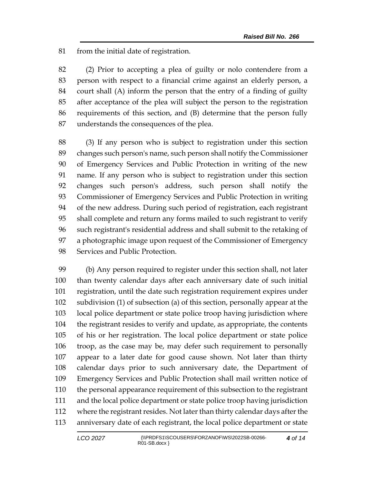from the initial date of registration.

 (2) Prior to accepting a plea of guilty or nolo contendere from a person with respect to a financial crime against an elderly person, a court shall (A) inform the person that the entry of a finding of guilty after acceptance of the plea will subject the person to the registration requirements of this section, and (B) determine that the person fully understands the consequences of the plea.

 (3) If any person who is subject to registration under this section changes such person's name, such person shall notify the Commissioner of Emergency Services and Public Protection in writing of the new name. If any person who is subject to registration under this section changes such person's address, such person shall notify the Commissioner of Emergency Services and Public Protection in writing of the new address. During such period of registration, each registrant shall complete and return any forms mailed to such registrant to verify such registrant's residential address and shall submit to the retaking of a photographic image upon request of the Commissioner of Emergency Services and Public Protection.

 (b) Any person required to register under this section shall, not later than twenty calendar days after each anniversary date of such initial registration, until the date such registration requirement expires under subdivision (1) of subsection (a) of this section, personally appear at the local police department or state police troop having jurisdiction where the registrant resides to verify and update, as appropriate, the contents of his or her registration. The local police department or state police troop, as the case may be, may defer such requirement to personally appear to a later date for good cause shown. Not later than thirty calendar days prior to such anniversary date, the Department of Emergency Services and Public Protection shall mail written notice of the personal appearance requirement of this subsection to the registrant and the local police department or state police troop having jurisdiction where the registrant resides. Not later than thirty calendar days after the anniversary date of each registrant, the local police department or state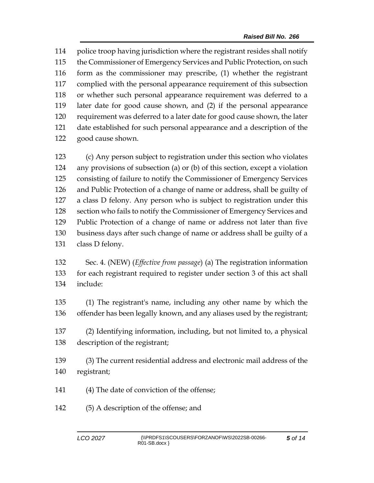police troop having jurisdiction where the registrant resides shall notify the Commissioner of Emergency Services and Public Protection, on such form as the commissioner may prescribe, (1) whether the registrant complied with the personal appearance requirement of this subsection or whether such personal appearance requirement was deferred to a later date for good cause shown, and (2) if the personal appearance requirement was deferred to a later date for good cause shown, the later date established for such personal appearance and a description of the good cause shown.

 (c) Any person subject to registration under this section who violates any provisions of subsection (a) or (b) of this section, except a violation consisting of failure to notify the Commissioner of Emergency Services and Public Protection of a change of name or address, shall be guilty of a class D felony. Any person who is subject to registration under this section who fails to notify the Commissioner of Emergency Services and Public Protection of a change of name or address not later than five business days after such change of name or address shall be guilty of a class D felony.

 Sec. 4. (NEW) (*Effective from passage*) (a) The registration information for each registrant required to register under section 3 of this act shall include:

 (1) The registrant's name, including any other name by which the offender has been legally known, and any aliases used by the registrant;

 (2) Identifying information, including, but not limited to, a physical description of the registrant;

 (3) The current residential address and electronic mail address of the registrant;

- (4) The date of conviction of the offense;
- (5) A description of the offense; and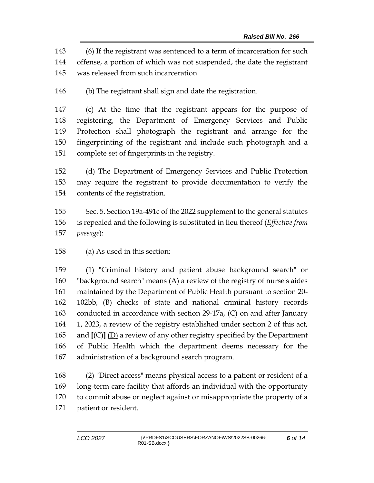(6) If the registrant was sentenced to a term of incarceration for such offense, a portion of which was not suspended, the date the registrant was released from such incarceration.

(b) The registrant shall sign and date the registration.

 (c) At the time that the registrant appears for the purpose of registering, the Department of Emergency Services and Public Protection shall photograph the registrant and arrange for the fingerprinting of the registrant and include such photograph and a complete set of fingerprints in the registry.

 (d) The Department of Emergency Services and Public Protection may require the registrant to provide documentation to verify the contents of the registration.

 Sec. 5. Section 19a-491c of the 2022 supplement to the general statutes is repealed and the following is substituted in lieu thereof (*Effective from passage*):

(a) As used in this section:

 (1) "Criminal history and patient abuse background search" or "background search" means (A) a review of the registry of nurse's aides maintained by the Department of Public Health pursuant to section 20- 102bb, (B) checks of state and national criminal history records conducted in accordance with section 29-17a, (C) on and after January 1, 2023, a review of the registry established under section 2 of this act, and **[**(C)**]** (D) a review of any other registry specified by the Department of Public Health which the department deems necessary for the administration of a background search program.

 (2) "Direct access" means physical access to a patient or resident of a long-term care facility that affords an individual with the opportunity to commit abuse or neglect against or misappropriate the property of a patient or resident.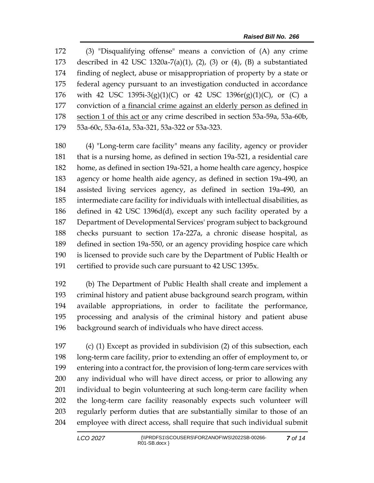(3) "Disqualifying offense" means a conviction of (A) any crime described in 42 USC 1320a-7(a)(1), (2), (3) or (4), (B) a substantiated finding of neglect, abuse or misappropriation of property by a state or federal agency pursuant to an investigation conducted in accordance with 42 USC 1395i-3(g)(1)(C) or 42 USC 1396r(g)(1)(C), or (C) a conviction of a financial crime against an elderly person as defined in 178 section 1 of this act or any crime described in section 53a-59a, 53a-60b, 53a-60c, 53a-61a, 53a-321, 53a-322 or 53a-323.

 (4) "Long-term care facility" means any facility, agency or provider that is a nursing home, as defined in section 19a-521, a residential care home, as defined in section 19a-521, a home health care agency, hospice agency or home health aide agency, as defined in section 19a-490, an assisted living services agency, as defined in section 19a-490, an intermediate care facility for individuals with intellectual disabilities, as defined in 42 USC 1396d(d), except any such facility operated by a Department of Developmental Services' program subject to background checks pursuant to section 17a-227a, a chronic disease hospital, as defined in section 19a-550, or an agency providing hospice care which is licensed to provide such care by the Department of Public Health or certified to provide such care pursuant to 42 USC 1395x.

 (b) The Department of Public Health shall create and implement a criminal history and patient abuse background search program, within available appropriations, in order to facilitate the performance, processing and analysis of the criminal history and patient abuse background search of individuals who have direct access.

 (c) (1) Except as provided in subdivision (2) of this subsection, each long-term care facility, prior to extending an offer of employment to, or entering into a contract for, the provision of long-term care services with any individual who will have direct access, or prior to allowing any individual to begin volunteering at such long-term care facility when the long-term care facility reasonably expects such volunteer will regularly perform duties that are substantially similar to those of an employee with direct access, shall require that such individual submit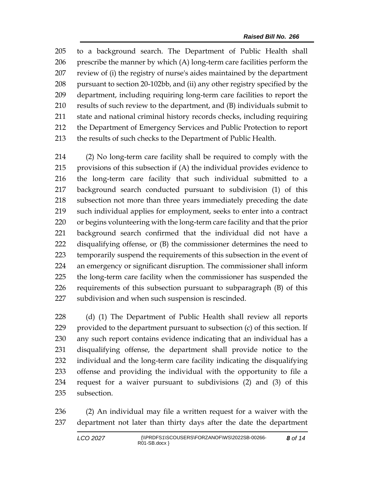to a background search. The Department of Public Health shall prescribe the manner by which (A) long-term care facilities perform the review of (i) the registry of nurse's aides maintained by the department pursuant to section 20-102bb, and (ii) any other registry specified by the department, including requiring long-term care facilities to report the results of such review to the department, and (B) individuals submit to state and national criminal history records checks, including requiring the Department of Emergency Services and Public Protection to report 213 the results of such checks to the Department of Public Health.

 (2) No long-term care facility shall be required to comply with the provisions of this subsection if (A) the individual provides evidence to the long-term care facility that such individual submitted to a background search conducted pursuant to subdivision (1) of this subsection not more than three years immediately preceding the date such individual applies for employment, seeks to enter into a contract or begins volunteering with the long-term care facility and that the prior background search confirmed that the individual did not have a disqualifying offense, or (B) the commissioner determines the need to temporarily suspend the requirements of this subsection in the event of an emergency or significant disruption. The commissioner shall inform the long-term care facility when the commissioner has suspended the requirements of this subsection pursuant to subparagraph (B) of this subdivision and when such suspension is rescinded.

 (d) (1) The Department of Public Health shall review all reports provided to the department pursuant to subsection (c) of this section. If any such report contains evidence indicating that an individual has a disqualifying offense, the department shall provide notice to the individual and the long-term care facility indicating the disqualifying offense and providing the individual with the opportunity to file a request for a waiver pursuant to subdivisions (2) and (3) of this subsection.

 (2) An individual may file a written request for a waiver with the department not later than thirty days after the date the department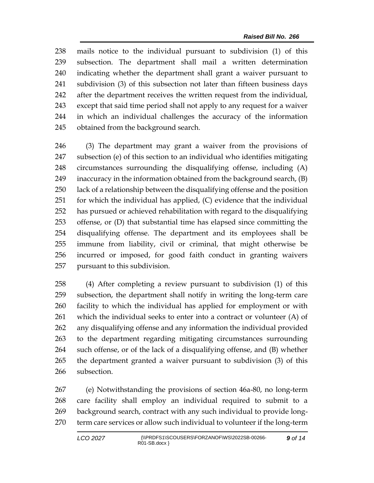mails notice to the individual pursuant to subdivision (1) of this subsection. The department shall mail a written determination indicating whether the department shall grant a waiver pursuant to subdivision (3) of this subsection not later than fifteen business days after the department receives the written request from the individual, except that said time period shall not apply to any request for a waiver in which an individual challenges the accuracy of the information obtained from the background search.

 (3) The department may grant a waiver from the provisions of subsection (e) of this section to an individual who identifies mitigating circumstances surrounding the disqualifying offense, including (A) inaccuracy in the information obtained from the background search, (B) lack of a relationship between the disqualifying offense and the position for which the individual has applied, (C) evidence that the individual has pursued or achieved rehabilitation with regard to the disqualifying offense, or (D) that substantial time has elapsed since committing the disqualifying offense. The department and its employees shall be immune from liability, civil or criminal, that might otherwise be incurred or imposed, for good faith conduct in granting waivers pursuant to this subdivision.

 (4) After completing a review pursuant to subdivision (1) of this subsection, the department shall notify in writing the long-term care facility to which the individual has applied for employment or with which the individual seeks to enter into a contract or volunteer (A) of any disqualifying offense and any information the individual provided to the department regarding mitigating circumstances surrounding such offense, or of the lack of a disqualifying offense, and (B) whether the department granted a waiver pursuant to subdivision (3) of this subsection.

 (e) Notwithstanding the provisions of section 46a-80, no long-term care facility shall employ an individual required to submit to a background search, contract with any such individual to provide long-term care services or allow such individual to volunteer if the long-term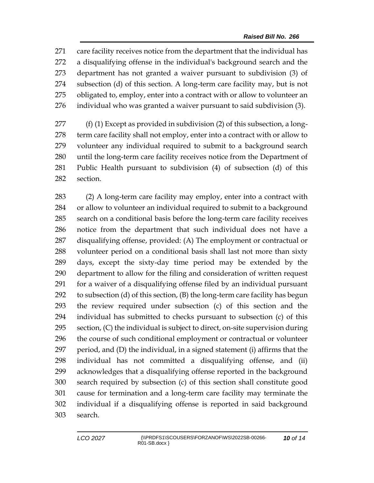care facility receives notice from the department that the individual has a disqualifying offense in the individual's background search and the department has not granted a waiver pursuant to subdivision (3) of subsection (d) of this section. A long-term care facility may, but is not obligated to, employ, enter into a contract with or allow to volunteer an individual who was granted a waiver pursuant to said subdivision (3).

 (f) (1) Except as provided in subdivision (2) of this subsection, a long- term care facility shall not employ, enter into a contract with or allow to volunteer any individual required to submit to a background search until the long-term care facility receives notice from the Department of Public Health pursuant to subdivision (4) of subsection (d) of this section.

 (2) A long-term care facility may employ, enter into a contract with or allow to volunteer an individual required to submit to a background search on a conditional basis before the long-term care facility receives notice from the department that such individual does not have a disqualifying offense, provided: (A) The employment or contractual or volunteer period on a conditional basis shall last not more than sixty days, except the sixty-day time period may be extended by the department to allow for the filing and consideration of written request for a waiver of a disqualifying offense filed by an individual pursuant to subsection (d) of this section, (B) the long-term care facility has begun the review required under subsection (c) of this section and the individual has submitted to checks pursuant to subsection (c) of this section, (C) the individual is subject to direct, on-site supervision during the course of such conditional employment or contractual or volunteer period, and (D) the individual, in a signed statement (i) affirms that the individual has not committed a disqualifying offense, and (ii) acknowledges that a disqualifying offense reported in the background search required by subsection (c) of this section shall constitute good cause for termination and a long-term care facility may terminate the individual if a disqualifying offense is reported in said background search.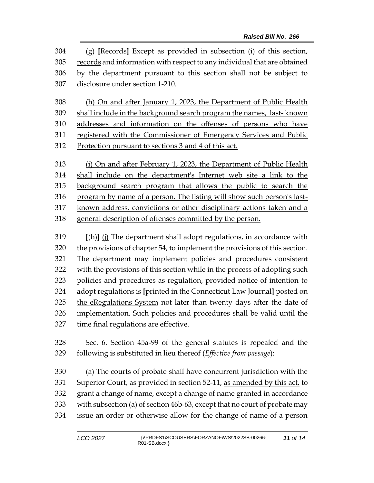(g) **[**Records**]** Except as provided in subsection (i) of this section, records and information with respect to any individual that are obtained by the department pursuant to this section shall not be subject to disclosure under section 1-210.

 (h) On and after January 1, 2023, the Department of Public Health shall include in the background search program the names, last- known addresses and information on the offenses of persons who have registered with the Commissioner of Emergency Services and Public Protection pursuant to sections 3 and 4 of this act.

313 (i) On and after February 1, 2023, the Department of Public Health shall include on the department's Internet web site a link to the background search program that allows the public to search the program by name of a person. The listing will show such person's last-317 known address, convictions or other disciplinary actions taken and a general description of offenses committed by the person.

 **[**(h)**]** (j) The department shall adopt regulations, in accordance with the provisions of chapter 54, to implement the provisions of this section. The department may implement policies and procedures consistent with the provisions of this section while in the process of adopting such policies and procedures as regulation, provided notice of intention to adopt regulations is **[**printed in the Connecticut Law Journal**]** posted on the eRegulations System not later than twenty days after the date of implementation. Such policies and procedures shall be valid until the time final regulations are effective.

 Sec. 6. Section 45a-99 of the general statutes is repealed and the following is substituted in lieu thereof (*Effective from passage*):

 (a) The courts of probate shall have concurrent jurisdiction with the Superior Court, as provided in section 52-11, as amended by this act, to grant a change of name, except a change of name granted in accordance with subsection (a) of section 46b-63, except that no court of probate may issue an order or otherwise allow for the change of name of a person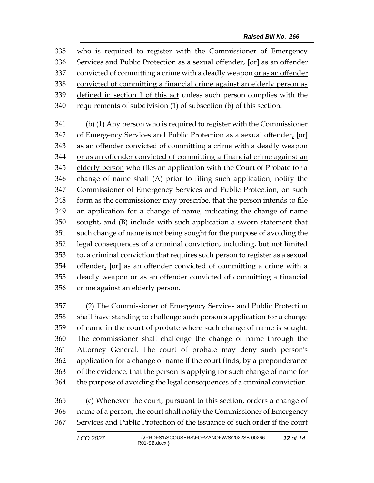who is required to register with the Commissioner of Emergency Services and Public Protection as a sexual offender, **[**or**]** as an offender 337 convicted of committing a crime with a deadly weapon or as an offender convicted of committing a financial crime against an elderly person as 339 defined in section 1 of this act unless such person complies with the requirements of subdivision (1) of subsection (b) of this section.

 (b) (1) Any person who is required to register with the Commissioner of Emergency Services and Public Protection as a sexual offender, **[**or**]** as an offender convicted of committing a crime with a deadly weapon or as an offender convicted of committing a financial crime against an elderly person who files an application with the Court of Probate for a change of name shall (A) prior to filing such application, notify the Commissioner of Emergency Services and Public Protection, on such form as the commissioner may prescribe, that the person intends to file an application for a change of name, indicating the change of name sought, and (B) include with such application a sworn statement that such change of name is not being sought for the purpose of avoiding the legal consequences of a criminal conviction, including, but not limited to, a criminal conviction that requires such person to register as a sexual offender, **[**or**]** as an offender convicted of committing a crime with a deadly weapon or as an offender convicted of committing a financial crime against an elderly person.

 (2) The Commissioner of Emergency Services and Public Protection shall have standing to challenge such person's application for a change of name in the court of probate where such change of name is sought. The commissioner shall challenge the change of name through the Attorney General. The court of probate may deny such person's application for a change of name if the court finds, by a preponderance of the evidence, that the person is applying for such change of name for the purpose of avoiding the legal consequences of a criminal conviction.

 (c) Whenever the court, pursuant to this section, orders a change of name of a person, the court shall notify the Commissioner of Emergency Services and Public Protection of the issuance of such order if the court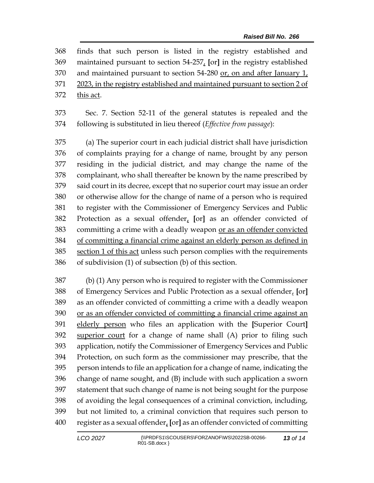|     | 368 finds that such person is listed in the registry established and        |
|-----|-----------------------------------------------------------------------------|
|     | 369 maintained pursuant to section 54-257, [or] in the registry established |
|     | 370 and maintained pursuant to section 54-280 or, on and after January 1,   |
| 371 | 2023, in the registry established and maintained pursuant to section 2 of   |
| 372 | this act.                                                                   |
|     |                                                                             |

 Sec. 7. Section 52-11 of the general statutes is repealed and the following is substituted in lieu thereof (*Effective from passage*):

 (a) The superior court in each judicial district shall have jurisdiction of complaints praying for a change of name, brought by any person residing in the judicial district, and may change the name of the complainant, who shall thereafter be known by the name prescribed by said court in its decree, except that no superior court may issue an order or otherwise allow for the change of name of a person who is required to register with the Commissioner of Emergency Services and Public Protection as a sexual offender, **[**or**]** as an offender convicted of committing a crime with a deadly weapon or as an offender convicted of committing a financial crime against an elderly person as defined in section 1 of this act unless such person complies with the requirements of subdivision (1) of subsection (b) of this section.

 (b) (1) Any person who is required to register with the Commissioner of Emergency Services and Public Protection as a sexual offender, **[**or**]** as an offender convicted of committing a crime with a deadly weapon or as an offender convicted of committing a financial crime against an elderly person who files an application with the **[**Superior Court**]** superior court for a change of name shall (A) prior to filing such application, notify the Commissioner of Emergency Services and Public Protection, on such form as the commissioner may prescribe, that the person intends to file an application for a change of name, indicating the change of name sought, and (B) include with such application a sworn statement that such change of name is not being sought for the purpose of avoiding the legal consequences of a criminal conviction, including, but not limited to, a criminal conviction that requires such person to register as a sexual offender, **[**or**]** as an offender convicted of committing